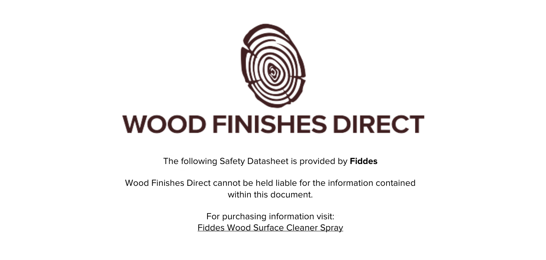

The following Safety Datasheet is provided by **Fiddes**

Wood Finishes Direct cannot be held liable for the information contained within this document

> For purchasing information visit: [Fiddes Wood Surface Cleaner Spray](https://www.wood-finishes-direct.com/product/fiddes-wood-surface-cleaner)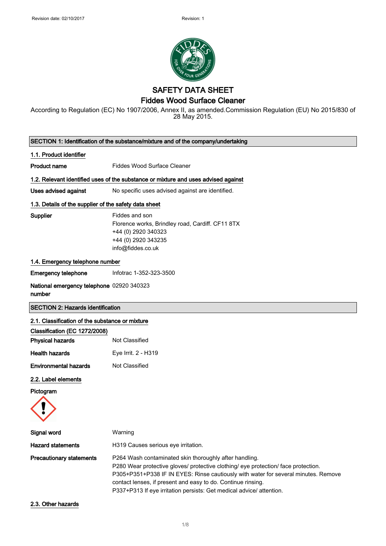

**SAFETY DATA SHEET** 

# **Fiddes Wood Surface Cleaner**

According to Regulation (EC) No 1907/2006, Annex II, as amended.Commission Regulation (EU) No 2015/830 of 28 May 2015.

| SECTION 1: Identification of the substance/mixture and of the company/undertaking |                                                                                                                                                                                                                                                                                                                                                                            |
|-----------------------------------------------------------------------------------|----------------------------------------------------------------------------------------------------------------------------------------------------------------------------------------------------------------------------------------------------------------------------------------------------------------------------------------------------------------------------|
| 1.1. Product identifier                                                           |                                                                                                                                                                                                                                                                                                                                                                            |
| <b>Product name</b>                                                               | <b>Fiddes Wood Surface Cleaner</b>                                                                                                                                                                                                                                                                                                                                         |
|                                                                                   | 1.2. Relevant identified uses of the substance or mixture and uses advised against                                                                                                                                                                                                                                                                                         |
| <b>Uses advised against</b>                                                       | No specific uses advised against are identified.                                                                                                                                                                                                                                                                                                                           |
| 1.3. Details of the supplier of the safety data sheet                             |                                                                                                                                                                                                                                                                                                                                                                            |
| <b>Supplier</b>                                                                   | Fiddes and son<br>Florence works, Brindley road, Cardiff. CF11 8TX<br>+44 (0) 2920 340323<br>+44 (0) 2920 343235<br>info@fiddes.co.uk                                                                                                                                                                                                                                      |
| 1.4. Emergency telephone number                                                   |                                                                                                                                                                                                                                                                                                                                                                            |
| <b>Emergency telephone</b>                                                        | Infotrac 1-352-323-3500                                                                                                                                                                                                                                                                                                                                                    |
| National emergency telephone 02920 340323<br>number                               |                                                                                                                                                                                                                                                                                                                                                                            |
| <b>SECTION 2: Hazards identification</b>                                          |                                                                                                                                                                                                                                                                                                                                                                            |
| 2.1. Classification of the substance or mixture                                   |                                                                                                                                                                                                                                                                                                                                                                            |
| Classification (EC 1272/2008)                                                     |                                                                                                                                                                                                                                                                                                                                                                            |
| <b>Physical hazards</b>                                                           | Not Classified                                                                                                                                                                                                                                                                                                                                                             |
| <b>Health hazards</b>                                                             | Eye Irrit. 2 - H319                                                                                                                                                                                                                                                                                                                                                        |
| <b>Environmental hazards</b>                                                      | Not Classified                                                                                                                                                                                                                                                                                                                                                             |
| 2.2. Label elements                                                               |                                                                                                                                                                                                                                                                                                                                                                            |
| Pictogram                                                                         |                                                                                                                                                                                                                                                                                                                                                                            |
|                                                                                   |                                                                                                                                                                                                                                                                                                                                                                            |
| Signal word                                                                       | Warning                                                                                                                                                                                                                                                                                                                                                                    |
| <b>Hazard statements</b>                                                          | H319 Causes serious eye irritation.                                                                                                                                                                                                                                                                                                                                        |
| <b>Precautionary statements</b>                                                   | P264 Wash contaminated skin thoroughly after handling.<br>P280 Wear protective gloves/ protective clothing/ eye protection/ face protection.<br>P305+P351+P338 IF IN EYES: Rinse cautiously with water for several minutes. Remove<br>contact lenses, if present and easy to do. Continue rinsing.<br>P337+P313 If eye irritation persists: Get medical advice/ attention. |

2.3. Other hazards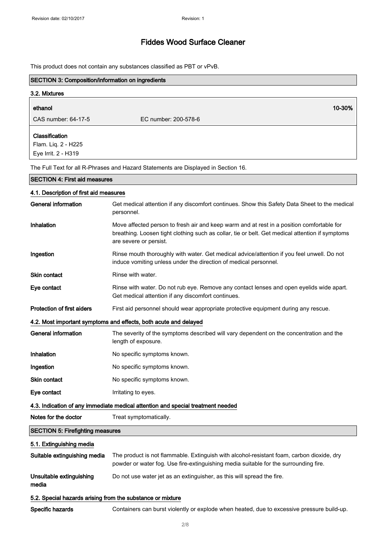This product does not contain any substances classified as PBT or vPvB.

| <b>SECTION 3: Composition/information on ingredients</b>   |                                                                                                                                                                                                                        |
|------------------------------------------------------------|------------------------------------------------------------------------------------------------------------------------------------------------------------------------------------------------------------------------|
| 3.2. Mixtures                                              |                                                                                                                                                                                                                        |
| ethanol                                                    | 10-30%                                                                                                                                                                                                                 |
| CAS number: 64-17-5                                        | EC number: 200-578-6                                                                                                                                                                                                   |
| Classification                                             |                                                                                                                                                                                                                        |
| Flam. Liq. 2 - H225                                        |                                                                                                                                                                                                                        |
| Eye Irrit. 2 - H319                                        |                                                                                                                                                                                                                        |
|                                                            | The Full Text for all R-Phrases and Hazard Statements are Displayed in Section 16.                                                                                                                                     |
| <b>SECTION 4: First aid measures</b>                       |                                                                                                                                                                                                                        |
| 4.1. Description of first aid measures                     |                                                                                                                                                                                                                        |
| <b>General information</b>                                 | Get medical attention if any discomfort continues. Show this Safety Data Sheet to the medical<br>personnel.                                                                                                            |
| Inhalation                                                 | Move affected person to fresh air and keep warm and at rest in a position comfortable for<br>breathing. Loosen tight clothing such as collar, tie or belt. Get medical attention if symptoms<br>are severe or persist. |
| Ingestion                                                  | Rinse mouth thoroughly with water. Get medical advice/attention if you feel unwell. Do not<br>induce vomiting unless under the direction of medical personnel.                                                         |
| <b>Skin contact</b>                                        | Rinse with water.                                                                                                                                                                                                      |
| Eye contact                                                | Rinse with water. Do not rub eye. Remove any contact lenses and open eyelids wide apart.<br>Get medical attention if any discomfort continues.                                                                         |
| <b>Protection of first aiders</b>                          | First aid personnel should wear appropriate protective equipment during any rescue.                                                                                                                                    |
|                                                            | 4.2. Most important symptoms and effects, both acute and delayed                                                                                                                                                       |
| <b>General information</b>                                 | The severity of the symptoms described will vary dependent on the concentration and the<br>length of exposure.                                                                                                         |
| Inhalation                                                 | No specific symptoms known.                                                                                                                                                                                            |
| Ingestion                                                  | No specific symptoms known.                                                                                                                                                                                            |
| Skin contact                                               | No specific symptoms known.                                                                                                                                                                                            |
| Eye contact                                                | Irritating to eyes.                                                                                                                                                                                                    |
|                                                            | 4.3. Indication of any immediate medical attention and special treatment needed                                                                                                                                        |
| Notes for the doctor                                       | Treat symptomatically.                                                                                                                                                                                                 |
| <b>SECTION 5: Firefighting measures</b>                    |                                                                                                                                                                                                                        |
| 5.1. Extinguishing media                                   |                                                                                                                                                                                                                        |
| Suitable extinguishing media                               | The product is not flammable. Extinguish with alcohol-resistant foam, carbon dioxide, dry<br>powder or water fog. Use fire-extinguishing media suitable for the surrounding fire.                                      |
| Unsuitable extinguishing<br>media                          | Do not use water jet as an extinguisher, as this will spread the fire.                                                                                                                                                 |
| 5.2. Special hazards arising from the substance or mixture |                                                                                                                                                                                                                        |
| Specific hazards                                           | Containers can burst violently or explode when heated, due to excessive pressure build-up.                                                                                                                             |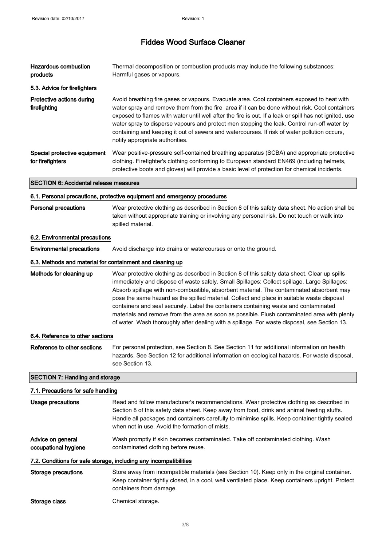| <b>Hazardous combustion</b><br>products                   | Thermal decomposition or combustion products may include the following substances:<br>Harmful gases or vapours.                                                                                                                                                                                                                                                                                                                                                                                                                                                                                                                                                                |
|-----------------------------------------------------------|--------------------------------------------------------------------------------------------------------------------------------------------------------------------------------------------------------------------------------------------------------------------------------------------------------------------------------------------------------------------------------------------------------------------------------------------------------------------------------------------------------------------------------------------------------------------------------------------------------------------------------------------------------------------------------|
| 5.3. Advice for firefighters                              |                                                                                                                                                                                                                                                                                                                                                                                                                                                                                                                                                                                                                                                                                |
| Protective actions during<br>firefighting                 | Avoid breathing fire gases or vapours. Evacuate area. Cool containers exposed to heat with<br>water spray and remove them from the fire area if it can be done without risk. Cool containers<br>exposed to flames with water until well after the fire is out. If a leak or spill has not ignited, use<br>water spray to disperse vapours and protect men stopping the leak. Control run-off water by<br>containing and keeping it out of sewers and watercourses. If risk of water pollution occurs,<br>notify appropriate authorities.                                                                                                                                       |
| Special protective equipment<br>for firefighters          | Wear positive-pressure self-contained breathing apparatus (SCBA) and appropriate protective<br>clothing. Firefighter's clothing conforming to European standard EN469 (including helmets,<br>protective boots and gloves) will provide a basic level of protection for chemical incidents.                                                                                                                                                                                                                                                                                                                                                                                     |
| <b>SECTION 6: Accidental release measures</b>             |                                                                                                                                                                                                                                                                                                                                                                                                                                                                                                                                                                                                                                                                                |
|                                                           | 6.1. Personal precautions, protective equipment and emergency procedures                                                                                                                                                                                                                                                                                                                                                                                                                                                                                                                                                                                                       |
| Personal precautions                                      | Wear protective clothing as described in Section 8 of this safety data sheet. No action shall be<br>taken without appropriate training or involving any personal risk. Do not touch or walk into<br>spilled material.                                                                                                                                                                                                                                                                                                                                                                                                                                                          |
| 6.2. Environmental precautions                            |                                                                                                                                                                                                                                                                                                                                                                                                                                                                                                                                                                                                                                                                                |
| <b>Environmental precautions</b>                          | Avoid discharge into drains or watercourses or onto the ground.                                                                                                                                                                                                                                                                                                                                                                                                                                                                                                                                                                                                                |
| 6.3. Methods and material for containment and cleaning up |                                                                                                                                                                                                                                                                                                                                                                                                                                                                                                                                                                                                                                                                                |
| Methods for cleaning up                                   | Wear protective clothing as described in Section 8 of this safety data sheet. Clear up spills<br>immediately and dispose of waste safely. Small Spillages: Collect spillage. Large Spillages:<br>Absorb spillage with non-combustible, absorbent material. The contaminated absorbent may<br>pose the same hazard as the spilled material. Collect and place in suitable waste disposal<br>containers and seal securely. Label the containers containing waste and contaminated<br>materials and remove from the area as soon as possible. Flush contaminated area with plenty<br>of water. Wash thoroughly after dealing with a spillage. For waste disposal, see Section 13. |
| 6.4. Reference to other sections                          |                                                                                                                                                                                                                                                                                                                                                                                                                                                                                                                                                                                                                                                                                |
| Reference to other sections                               | For personal protection, see Section 8. See Section 11 for additional information on health<br>hazards. See Section 12 for additional information on ecological hazards. For waste disposal,<br>see Section 13.                                                                                                                                                                                                                                                                                                                                                                                                                                                                |
| <b>SECTION 7: Handling and storage</b>                    |                                                                                                                                                                                                                                                                                                                                                                                                                                                                                                                                                                                                                                                                                |
| 7.1. Precautions for safe handling                        |                                                                                                                                                                                                                                                                                                                                                                                                                                                                                                                                                                                                                                                                                |
| <b>Usage precautions</b>                                  | Read and follow manufacturer's recommendations. Wear protective clothing as described in<br>Section 8 of this safety data sheet. Keep away from food, drink and animal feeding stuffs.<br>Handle all packages and containers carefully to minimise spills. Keep container tightly sealed<br>when not in use. Avoid the formation of mists.                                                                                                                                                                                                                                                                                                                                     |
| Advice on general<br>occupational hygiene                 | Wash promptly if skin becomes contaminated. Take off contaminated clothing. Wash<br>contaminated clothing before reuse.                                                                                                                                                                                                                                                                                                                                                                                                                                                                                                                                                        |
|                                                           | 7.2. Conditions for safe storage, including any incompatibilities                                                                                                                                                                                                                                                                                                                                                                                                                                                                                                                                                                                                              |
| <b>Storage precautions</b>                                | Store away from incompatible materials (see Section 10). Keep only in the original container.<br>Keep container tightly closed, in a cool, well ventilated place. Keep containers upright. Protect<br>containers from damage.                                                                                                                                                                                                                                                                                                                                                                                                                                                  |
| Storage class                                             | Chemical storage.                                                                                                                                                                                                                                                                                                                                                                                                                                                                                                                                                                                                                                                              |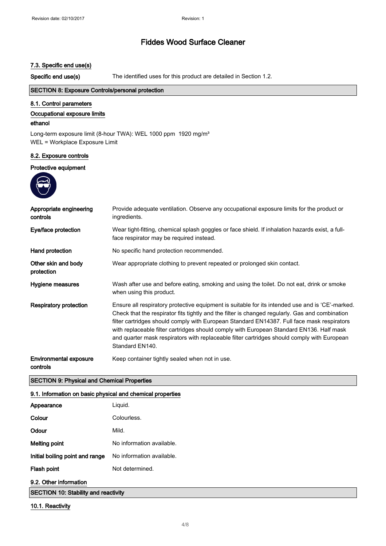### 7.3. Specific end use(s)

Specific end use(s)

The identified uses for this product are detailed in Section 1.2.

# SECTION 8: Exposure Controls/personal protection

### 8.1. Control parameters

### Occupational exposure limits

#### ethanol

Long-term exposure limit (8-hour TWA): WEL 1000 ppm 1920 mg/m<sup>3</sup> WEL = Workplace Exposure Limit

### 8.2. Exposure controls

### Protective equipment



| Appropriate engineering<br>controls       | Provide adequate ventilation. Observe any occupational exposure limits for the product or<br>ingredients.                                                                                                                                                                                                                                                                                                                                                                                                       |
|-------------------------------------------|-----------------------------------------------------------------------------------------------------------------------------------------------------------------------------------------------------------------------------------------------------------------------------------------------------------------------------------------------------------------------------------------------------------------------------------------------------------------------------------------------------------------|
| Eye/face protection                       | Wear tight-fitting, chemical splash goggles or face shield. If inhalation hazards exist, a full-<br>face respirator may be required instead.                                                                                                                                                                                                                                                                                                                                                                    |
| Hand protection                           | No specific hand protection recommended.                                                                                                                                                                                                                                                                                                                                                                                                                                                                        |
| Other skin and body<br>protection         | Wear appropriate clothing to prevent repeated or prolonged skin contact.                                                                                                                                                                                                                                                                                                                                                                                                                                        |
| Hygiene measures                          | Wash after use and before eating, smoking and using the toilet. Do not eat, drink or smoke<br>when using this product.                                                                                                                                                                                                                                                                                                                                                                                          |
| Respiratory protection                    | Ensure all respiratory protective equipment is suitable for its intended use and is 'CE'-marked.<br>Check that the respirator fits tightly and the filter is changed regularly. Gas and combination<br>filter cartridges should comply with European Standard EN14387. Full face mask respirators<br>with replaceable filter cartridges should comply with European Standard EN136. Half mask<br>and quarter mask respirators with replaceable filter cartridges should comply with European<br>Standard EN140. |
| <b>Environmental exposure</b><br>controls | Keep container tightly sealed when not in use.                                                                                                                                                                                                                                                                                                                                                                                                                                                                  |

#### **SECTION 9: Physical and Chemical Properties**

### 9.1. Information on basic physical and chemical properties

| Appearance                                  | Liquid.                   |
|---------------------------------------------|---------------------------|
| Colour                                      | Colourless.               |
| Odour                                       | Mild.                     |
| <b>Melting point</b>                        | No information available. |
| Initial boiling point and range             | No information available. |
| Flash point                                 | Not determined.           |
| 9.2. Other information                      |                           |
| <b>SECTION 10: Stability and reactivity</b> |                           |

### 10.1. Reactivity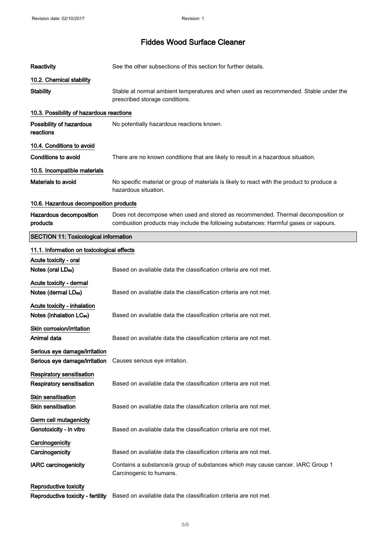| <b>Reactivity</b>                            | See the other subsections of this section for further details.                                                                                                          |
|----------------------------------------------|-------------------------------------------------------------------------------------------------------------------------------------------------------------------------|
| 10.2. Chemical stability                     |                                                                                                                                                                         |
| <b>Stability</b>                             | Stable at normal ambient temperatures and when used as recommended. Stable under the<br>prescribed storage conditions.                                                  |
| 10.3. Possibility of hazardous reactions     |                                                                                                                                                                         |
| Possibility of hazardous<br>reactions        | No potentially hazardous reactions known.                                                                                                                               |
| 10.4. Conditions to avoid                    |                                                                                                                                                                         |
| <b>Conditions to avoid</b>                   | There are no known conditions that are likely to result in a hazardous situation.                                                                                       |
| 10.5. Incompatible materials                 |                                                                                                                                                                         |
| <b>Materials to avoid</b>                    | No specific material or group of materials is likely to react with the product to produce a<br>hazardous situation.                                                     |
| 10.6. Hazardous decomposition products       |                                                                                                                                                                         |
| Hazardous decomposition<br>products          | Does not decompose when used and stored as recommended. Thermal decomposition or<br>combustion products may include the following substances: Harmful gases or vapours. |
| <b>SECTION 11: Toxicological information</b> |                                                                                                                                                                         |
| 11.1. Information on toxicological effects   |                                                                                                                                                                         |
| Acute toxicity - oral                        |                                                                                                                                                                         |
| Notes (oral LD <sub>50</sub> )               | Based on available data the classification criteria are not met.                                                                                                        |
| Acute toxicity - dermal                      |                                                                                                                                                                         |
| Notes (dermal LD <sub>50</sub> )             | Based on available data the classification criteria are not met.                                                                                                        |
| Acute toxicity - inhalation                  |                                                                                                                                                                         |
| Notes (inhalation LC <sub>50</sub> )         | Based on available data the classification criteria are not met.                                                                                                        |
| Skin corrosion/irritation                    |                                                                                                                                                                         |
| Animal data                                  | Based on available data the classification criteria are not met.                                                                                                        |
| Serious eye damage/irritation                |                                                                                                                                                                         |
| Serious eye damage/irritation                | Causes serious eye irritation.                                                                                                                                          |
| <b>Respiratory sensitisation</b>             |                                                                                                                                                                         |
| <b>Respiratory sensitisation</b>             | Based on available data the classification criteria are not met.                                                                                                        |
| <b>Skin sensitisation</b>                    |                                                                                                                                                                         |
| <b>Skin sensitisation</b>                    | Based on available data the classification criteria are not met.                                                                                                        |
| Germ cell mutagenicity                       |                                                                                                                                                                         |
| Genotoxicity - in vitro                      | Based on available data the classification criteria are not met.                                                                                                        |
| Carcinogenicity                              |                                                                                                                                                                         |
| Carcinogenicity                              | Based on available data the classification criteria are not met.                                                                                                        |
| <b>IARC</b> carcinogenicity                  | Contains a substance/a group of substances which may cause cancer. IARC Group 1<br>Carcinogenic to humans.                                                              |
| Reproductive toxicity                        |                                                                                                                                                                         |
| Reproductive toxicity - fertility            | Based on available data the classification criteria are not met.                                                                                                        |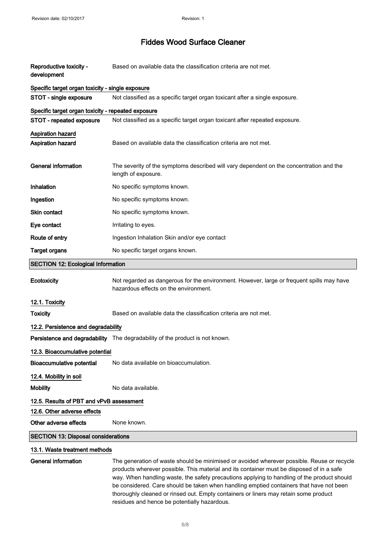| Reproductive toxicity -<br>development             | Based on available data the classification criteria are not met.                                                                   |
|----------------------------------------------------|------------------------------------------------------------------------------------------------------------------------------------|
| Specific target organ toxicity - single exposure   |                                                                                                                                    |
| STOT - single exposure                             | Not classified as a specific target organ toxicant after a single exposure.                                                        |
| Specific target organ toxicity - repeated exposure |                                                                                                                                    |
| STOT - repeated exposure                           | Not classified as a specific target organ toxicant after repeated exposure.                                                        |
| Aspiration hazard                                  |                                                                                                                                    |
| <b>Aspiration hazard</b>                           | Based on available data the classification criteria are not met.                                                                   |
|                                                    |                                                                                                                                    |
| <b>General information</b>                         | The severity of the symptoms described will vary dependent on the concentration and the<br>length of exposure.                     |
| Inhalation                                         | No specific symptoms known.                                                                                                        |
| Ingestion                                          | No specific symptoms known.                                                                                                        |
| Skin contact                                       | No specific symptoms known.                                                                                                        |
| Eye contact                                        | Irritating to eyes.                                                                                                                |
| Route of entry                                     | Ingestion Inhalation Skin and/or eye contact                                                                                       |
| <b>Target organs</b>                               | No specific target organs known.                                                                                                   |
| <b>SECTION 12: Ecological Information</b>          |                                                                                                                                    |
| Ecotoxicity                                        | Not regarded as dangerous for the environment. However, large or frequent spills may have<br>hazardous effects on the environment. |
| 12.1. Toxicity                                     |                                                                                                                                    |
| <b>Toxicity</b>                                    | Based on available data the classification criteria are not met.                                                                   |
| 12.2. Persistence and degradability                |                                                                                                                                    |
|                                                    | Persistence and degradability The degradability of the product is not known.                                                       |
| 12.3. Bioaccumulative potential                    |                                                                                                                                    |
| <b>Bioaccumulative potential</b>                   | No data available on bioaccumulation.                                                                                              |
| 12.4. Mobility in soil                             |                                                                                                                                    |
| <b>Mobility</b>                                    | No data available.                                                                                                                 |
| 12.5. Results of PBT and vPvB assessment           |                                                                                                                                    |
| 12.6. Other adverse effects                        |                                                                                                                                    |
| Other adverse effects                              | None known.                                                                                                                        |
| <b>SECTION 13: Disposal considerations</b>         |                                                                                                                                    |
| 13.1. Waste treatment methods                      |                                                                                                                                    |
| <b>General information</b>                         | The generation of waste should be minimised or avoided wherever possible. Reuse or recycle                                         |

products wherever possible. This material and its container must be disposed of in a safe way. When handling waste, the safety precautions applying to handling of the product should be considered. Care should be taken when handling emptied containers that have not been thoroughly cleaned or rinsed out. Empty containers or liners may retain some product residues and hence be potentially hazardous.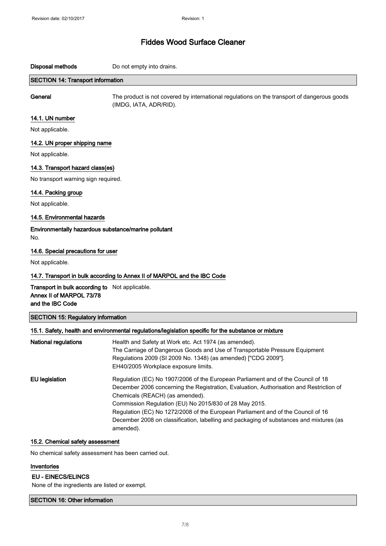**Disposal methods** Do not empty into drains.

## **SECTION 14: Transport information**

General

The product is not covered by international regulations on the transport of dangerous goods (IMDG, IATA, ADR/RID).

# 14.1. UN number

Not applicable.

### 14.2. UN proper shipping name

Not applicable.

### 14.3. Transport hazard class(es)

No transport warning sign required.

### 14.4. Packing group

Not applicable.

### 14.5. Environmental hazards

Environmentally hazardous substance/marine pollutant No.

### 14.6. Special precautions for user

Not applicable.

### 14.7. Transport in bulk according to Annex II of MARPOL and the IBC Code

Transport in bulk according to Not applicable. Annex II of MARPOL 73/78 and the IBC Code

## SECTION 15: Regulatory information

|                             | 15.1. Safety, health and environmental regulations/legislation specific for the substance or mixture |
|-----------------------------|------------------------------------------------------------------------------------------------------|
| <b>National regulations</b> | Health and Safety at Work etc. Act 1974 (as amended).                                                |
|                             | The Carriage of Dangerous Goods and Use of Transportable Pressure Equipment                          |
|                             | Regulations 2009 (SI 2009 No. 1348) (as amended) ["CDG 2009"].                                       |
|                             | EH40/2005 Workplace exposure limits.                                                                 |
| EU legislation              | Regulation (EC) No 1907/2006 of the European Parliament and of the Council of 18                     |
|                             | December 2006 concerning the Registration, Evaluation, Authorisation and Restriction of              |
|                             | Chemicals (REACH) (as amended).                                                                      |
|                             | Commission Regulation (EU) No 2015/830 of 28 May 2015.                                               |
|                             | Regulation (EC) No 1272/2008 of the European Parliament and of the Council of 16                     |
|                             | December 2008 on classification, labelling and packaging of substances and mixtures (as              |
|                             | amended).                                                                                            |

### 15.2. Chemical safety assessment

No chemical safety assessment has been carried out.

## Inventories

### **EU - EINECS/ELINCS**

None of the ingredients are listed or exempt.

SECTION 16: Other information